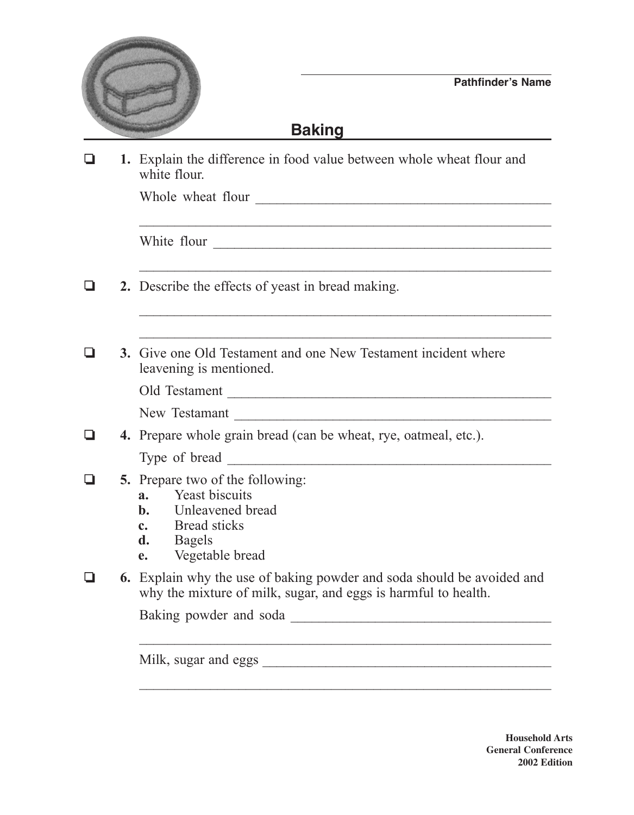

## **Baking**

❏ **1.** Explain the difference in food value between whole wheat flour and white flour.

Whole wheat flour \_\_\_\_\_\_\_\_\_\_\_\_\_\_\_\_\_\_\_\_\_\_\_\_\_\_\_\_\_\_\_\_\_\_\_\_\_\_\_\_\_\_

White flour \_\_\_\_\_\_\_\_\_\_\_\_\_\_\_\_\_\_\_\_\_\_\_\_\_\_\_\_\_\_\_\_\_\_\_\_\_\_\_\_\_\_\_\_\_\_\_\_

- ❏ **2.** Describe the effects of yeast in bread making.
- ❏ **3.** Give one Old Testament and one New Testament incident where leavening is mentioned.

 $\mathcal{L}_\text{max}$  , and the contract of the contract of the contract of the contract of the contract of the contract of the contract of the contract of the contract of the contract of the contract of the contract of the contr

| Old Testament |  |
|---------------|--|
|               |  |

New Testamant

|  |  |  | 4. Prepare whole grain bread (can be wheat, rye, oatmeal, etc.). |  |  |
|--|--|--|------------------------------------------------------------------|--|--|
|  |  |  |                                                                  |  |  |

Type of bread \_\_\_\_\_\_\_\_\_\_\_\_\_\_\_\_\_\_\_\_\_\_\_\_\_\_\_\_\_\_\_\_\_\_\_\_\_\_\_\_\_\_\_\_\_\_

- ❏ **5.** Prepare two of the following:
	- **a.** Yeast biscuits
	- **b.** Unleavened bread
	- **c.** Bread sticks
	- **d.** Bagels
	- **e.** Vegetable bread
- ❏ **6.** Explain why the use of baking powder and soda should be avoided and why the mixture of milk, sugar, and eggs is harmful to health.

 $\mathcal{L}_\text{max}$  , and the contract of the contract of the contract of the contract of the contract of the contract of the contract of the contract of the contract of the contract of the contract of the contract of the contr

 $\mathcal{L}_\text{max}$  , and the contract of the contract of the contract of the contract of the contract of the contract of the contract of the contract of the contract of the contract of the contract of the contract of the contr

Baking powder and soda \_\_\_\_\_\_\_\_\_\_\_\_\_\_\_\_\_\_\_\_\_\_\_\_\_\_\_\_\_\_\_\_\_\_\_\_\_

Milk, sugar and eggs

**Household Arts General Conference 2002 Edition**